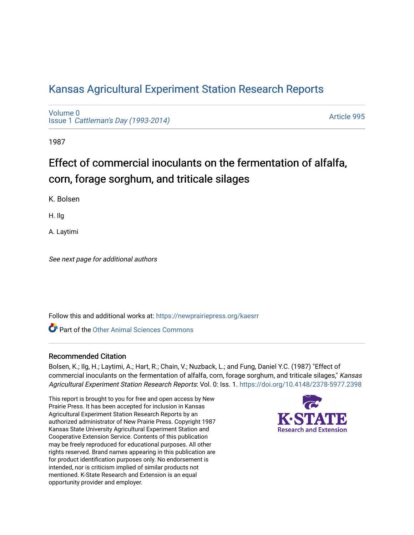## [Kansas Agricultural Experiment Station Research Reports](https://newprairiepress.org/kaesrr)

[Volume 0](https://newprairiepress.org/kaesrr/vol0) Issue 1 [Cattleman's Day \(1993-2014\)](https://newprairiepress.org/kaesrr/vol0/iss1) 

[Article 995](https://newprairiepress.org/kaesrr/vol0/iss1/995) 

1987

# Effect of commercial inoculants on the fermentation of alfalfa, corn, forage sorghum, and triticale silages

K. Bolsen

H. Ilg

A. Laytimi

See next page for additional authors

Follow this and additional works at: [https://newprairiepress.org/kaesrr](https://newprairiepress.org/kaesrr?utm_source=newprairiepress.org%2Fkaesrr%2Fvol0%2Fiss1%2F995&utm_medium=PDF&utm_campaign=PDFCoverPages) 

**C** Part of the [Other Animal Sciences Commons](http://network.bepress.com/hgg/discipline/82?utm_source=newprairiepress.org%2Fkaesrr%2Fvol0%2Fiss1%2F995&utm_medium=PDF&utm_campaign=PDFCoverPages)

#### Recommended Citation

Bolsen, K.; Ilg, H.; Laytimi, A.; Hart, R.; Chain, V.; Nuzback, L.; and Fung, Daniel Y.C. (1987) "Effect of commercial inoculants on the fermentation of alfalfa, corn, forage sorghum, and triticale silages," Kansas Agricultural Experiment Station Research Reports: Vol. 0: Iss. 1.<https://doi.org/10.4148/2378-5977.2398>

This report is brought to you for free and open access by New Prairie Press. It has been accepted for inclusion in Kansas Agricultural Experiment Station Research Reports by an authorized administrator of New Prairie Press. Copyright 1987 Kansas State University Agricultural Experiment Station and Cooperative Extension Service. Contents of this publication may be freely reproduced for educational purposes. All other rights reserved. Brand names appearing in this publication are for product identification purposes only. No endorsement is intended, nor is criticism implied of similar products not mentioned. K-State Research and Extension is an equal opportunity provider and employer.

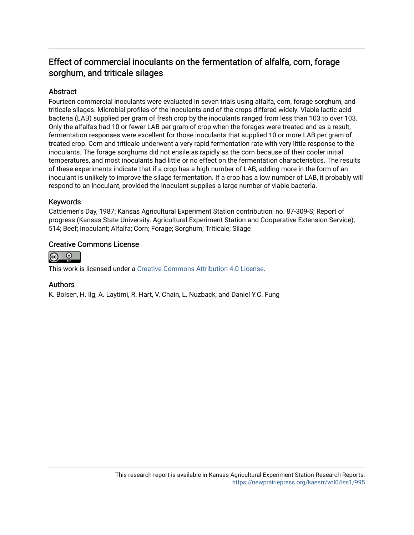### Effect of commercial inoculants on the fermentation of alfalfa, corn, forage sorghum, and triticale silages

#### Abstract

Fourteen commercial inoculants were evaluated in seven trials using alfalfa, corn, forage sorghum, and triticale silages. Microbial profiles of the inoculants and of the crops differed widely. Viable lactic acid bacteria (LAB) supplied per gram of fresh crop by the inoculants ranged from less than 103 to over 103. Only the alfalfas had 10 or fewer LAB per gram of crop when the forages were treated and as a result, fermentation responses were excellent for those inoculants that supplied 10 or more LAB per gram of treated crop. Corn and triticale underwent a very rapid fermentation rate with very little response to the inoculants. The forage sorghums did not ensile as rapidly as the corn because of their cooler initial temperatures, and most inoculants had little or no effect on the fermentation characteristics. The results of these experiments indicate that if a crop has a high number of LAB, adding more in the form of an inoculant is unlikely to improve the silage fermentation. If a crop has a low number of LAB, it probably will respond to an inoculant, provided the inoculant supplies a large number of viable bacteria.

#### Keywords

Cattlemen's Day, 1987; Kansas Agricultural Experiment Station contribution; no. 87-309-S; Report of progress (Kansas State University. Agricultural Experiment Station and Cooperative Extension Service); 514; Beef; Inoculant; Alfalfa; Corn; Forage; Sorghum; Triticale; Silage

#### Creative Commons License



This work is licensed under a [Creative Commons Attribution 4.0 License](https://creativecommons.org/licenses/by/4.0/).

#### Authors

K. Bolsen, H. Ilg, A. Laytimi, R. Hart, V. Chain, L. Nuzback, and Daniel Y.C. Fung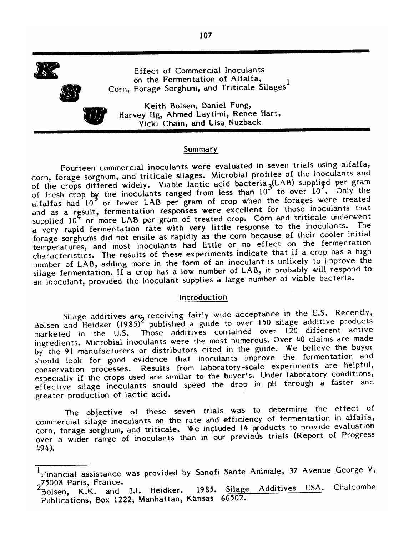

**Effect of Commercial Inoculants** on the Fermentation of Alfalfa. Corn, Forage Sorghum, and Triticale Silages<sup>1</sup>



Keith Bolsen, Daniel Fung, Harvey Ilg, Ahmed Laytimi, Renee Hart, Vicki Chain, and Lisa Nuzback

#### Summary

Fourteen commercial inoculants were evaluated in seven trials using alfalfa, corn, forage sorghum, and triticale silages. Microbial profiles of the inoculants and of the crops differed widely. Viable lactic acid bacteria (LAB) supplied per gram of fresh crop by the inoculants ranged from less than 10<sup>3</sup> to over 10<sup>2</sup>. Only the alfalfas had 10<sup>3</sup> or fewer LAB per gram of crop when the forages were treated and as a result, fermentation responses were excellent for those inoculants that supplied 10<sup>4</sup> or more LAB per gram of treated crop. Corn and triticale underwent a very rapid fermentation rate with very little response to the inoculants. The forage sorghums did not ensile as rapidly as the corn because of their cooler initial temperatures, and most inoculants had little or no effect on the fermentation characteristics. The results of these experiments indicate that if a crop has a high number of LAB, adding more in the form of an inoculant is unlikely to improve the silage fermentation. If a crop has a low number of LAB, it probably will respond to an inoculant, provided the inoculant supplies a large number of viable bacteria.

#### Introduction

Silage additives are receiving fairly wide acceptance in the U.S. Recently,<br>Bolsen and Heidker (1985)<sup>2</sup> published a guide to over 150 silage additive products marketed in the U.S. Those additives contained over 120 different active ingredients. Microbial inoculants were the most numerous. Over 40 claims are made by the 91 manufacturers or distributors cited in the guide. We believe the buyer should look for good evidence that inoculants improve the fermentation and conservation processes. Results from laboratory-scale experiments are helpful, especially if the crops used are similar to the buyer's. Under laboratory conditions, effective silage inoculants should speed the drop in pH through a faster and greater production of lactic acid.

The objective of these seven trials was to determine the effect of commercial silage inoculants on the rate and efficiency of fermentation in alfalfa, corn, forage sorghum, and triticale. We included 14 products to provide evaluation over a wider range of inoculants than in our previous trials (Report of Progress 494).

<sup>&</sup>lt;sup>1</sup>Financial assistance was provided by Sanofi Sante Animale, 37 Avenue George V, 275008 Paris, France.

Chalcombe 1985. Silage Additives USA. Bolsen, K.K. and J.I. Heidker. Publications, Box 1222, Manhattan, Kansas 66502.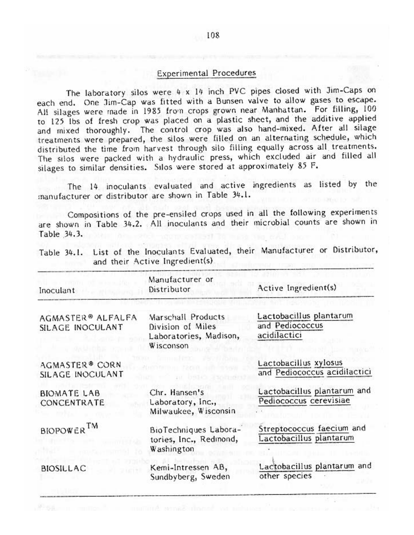#### **Experimental Procedures**

The laboratory silos were 4 x 14 inch PVC pipes closed with Jim-Caps on each end. One Jim-Cap was fitted with a Bunsen valve to allow gases to escape. All silages were made in 1985 from crops grown near Manhattan. For filling, 100 to 125 lbs of fresh crop was placed on a plastic sheet, and the additive applied and mixed thoroughly. The control crop was also hand-mixed. After all silage treatments were prepared, the silos were filled on an alternating schedule, which distributed the time from harvest through silo filling equally across all treatments. The silos were packed with a hydraulic press, which excluded air and filled all silages to similar densities. Silos were stored at approximately 85 F.

The 14 inoculants evaluated and active ingredients as listed by the manufacturer or distributor are shown in Table 34.1.

Compositions of the pre-ensiled crops used in all the following experiments are shown in Table 34.2. All inoculants and their microbial counts are shown in Table 34.3.

| Inoculant                             | Manufacturer or<br>Distributor                                                 | Active Ingredient(s)                                       |
|---------------------------------------|--------------------------------------------------------------------------------|------------------------------------------------------------|
| AGMASTER® ALFALFA<br>SILAGE INOCULANT | Marschall Products<br>Division of Miles<br>Laboratories, Madison,<br>Wisconson | Lactobacillus plantarum<br>and Pediococcus<br>acidilactici |
| AGMASTER® CORN<br>SILAGE INOCULANT    |                                                                                | Lactobacillus xylosus<br>and Pediococcus acidilactici      |
| <b>BIOMATE LAB</b><br>CONCENTRATE     | Chr. Hansen's<br>Laboratory, Inc.,<br>Milwaukee, Wisconsin                     | Lactobacillus plantarum and<br>Pediococcus cerevisiae      |
| BIOPOWER <sup>TM</sup>                | BioTechniques Labora-<br>tories, Inc., Redmond,<br>Washington                  | Streptococcus faecium and<br>Lactobacillus plantarum       |
| <b>BIOSILLAC</b>                      | Kemi-Intressen AB,<br>Sundbyberg, Sweden                                       | Lactobacillus plantarum and<br>other species               |
|                                       |                                                                                |                                                            |

Table 34.1. List of the Inoculants Evaluated, their Manufacturer or Distributor, and their Active Ingredient(s)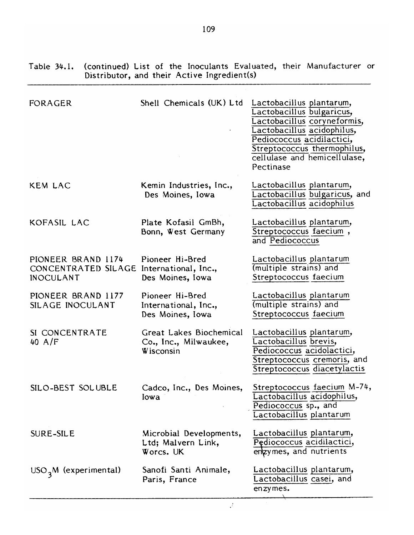| FORAGER                                                                            | Shell Chemicals (UK) Ltd                                      | Lactobacillus plantarum,<br>Lactobacillus bulgaricus,<br>Lactobacillus coryneformis,<br>Lactobacillus acidophilus,<br>Pediococcus acidilactici,<br>Streptococcus thermophilus,<br>cellulase and hemicellulase,<br>Pectinase |
|------------------------------------------------------------------------------------|---------------------------------------------------------------|-----------------------------------------------------------------------------------------------------------------------------------------------------------------------------------------------------------------------------|
| <b>KEM LAC</b>                                                                     | Kemin Industries, Inc.,<br>Des Moines, Iowa                   | Lactobacillus plantarum,<br>Lactobacillus bulgaricus, and<br>Lactobacillus acidophilus                                                                                                                                      |
| KOFASIL LAC                                                                        | Plate Kofasil GmBh,<br>Bonn, West Germany                     | Lactobacillus plantarum,<br>Streptococcus faecium,<br>and Pediococcus                                                                                                                                                       |
| PIONEER BRAND 1174<br>CONCENTRATED SILAGE International, Inc.,<br><b>INOCULANT</b> | Pioneer Hi-Bred<br>Des Moines, Iowa                           | Lactobacillus plantarum<br>(multiple strains) and<br>Streptococcus faecium                                                                                                                                                  |
| PIONEER BRAND 1177<br>SILAGE INOCULANT                                             | Pioneer Hi-Bred<br>International, Inc.,<br>Des Moines, Iowa   | Lactobacillus plantarum<br>(multiple strains) and<br>Streptococcus faecium                                                                                                                                                  |
| SI CONCENTRATE<br>$40$ A/F                                                         | Great Lakes Biochemical<br>Co., Inc., Milwaukee,<br>Wisconsin | Lactobacillus plantarum,<br>Lactobacillus brevis,<br>Pediococcus acidolactici,<br>Streptococcus cremoris, and<br>Streptococcus diacetylactis                                                                                |
| SILO-BEST SOLUBLE                                                                  | Cadco, Inc., Des Moines,<br>Iowa                              | Streptococcus faecium M-74,<br>Lactobacillus acidophilus,<br>Pediococcus sp., and<br>Lactobacillus plantarum                                                                                                                |
| <b>SURE-SILE</b>                                                                   | Microbial Developments,<br>Ltd; Malvern Link,<br>Worcs. UK    | Lactobacillus plantarum,<br>Pędiococcus acidilactici,<br>enzymes, and nutrients                                                                                                                                             |
| $USO3M$ (experimental)                                                             | Sanofi Santi Animale,<br>Paris, France                        | Lactobacillus plantarum,<br>Lactobacillus casei, and<br>enzymes.                                                                                                                                                            |

(continued) List of the Inoculants Evaluated, their Manufacturer or<br>Distributor, and their Active Ingredient(s) Table 34.1.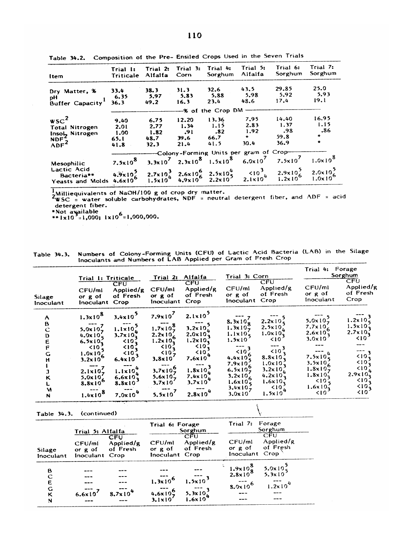| <b>Item</b>                                          | Trial 1:<br>Triticale | Trial 2:<br>Alfalfa | Trial 3:<br>Corn | Trial 4:<br>Sorghum                                                                                                                                | Trial 5:<br>Alfalfa | Trial 6:<br>Sorghum                                  | Trial 7:<br>Sorghum                 |
|------------------------------------------------------|-----------------------|---------------------|------------------|----------------------------------------------------------------------------------------------------------------------------------------------------|---------------------|------------------------------------------------------|-------------------------------------|
| Dry Matter, %                                        | 33.4                  | 38.3                | 31.3             | 32.6                                                                                                                                               | 43.5                | 29.85                                                | 25.0                                |
| рH<br>Buffer Capacity                                | 6.35<br>36.3          | 5.97<br>49.2        | 5.83<br>16.3     | 5.88<br>23.4                                                                                                                                       | 5.98<br>48.6        | 5.92<br>17.4                                         | 5.93<br>19.1                        |
|                                                      |                       |                     |                  | -% of the Crop DM                                                                                                                                  |                     |                                                      |                                     |
| $wsc^2$                                              | 9.40                  | 6.75                | 12.20            | 13.36                                                                                                                                              | 7.95                | 14.40                                                | 16.95                               |
| Total Nitrogen<br>Insol <sub>2</sub> Nitrogen        | 2.01<br>1.00          | 2.77<br>1.82        | 1.34<br>-91      | 1.15<br>-82                                                                                                                                        | 2.83<br>1.92        | 1.37<br>.98                                          | 1.15<br>.86                         |
| $MP^2$<br>ADF <sup>2</sup>                           | 65.1                  | 48.7<br>32.3        | 39.6<br>21.4     | 66.7<br>41.5                                                                                                                                       | $\bullet$<br>30.4   | 59.8<br>36.9                                         | $\bullet$<br>$\bullet$              |
|                                                      | 41.8                  |                     |                  | --Colony-Forming Units per gram of Crop-                                                                                                           |                     |                                                      |                                     |
| Mesophilic                                           | $7.5 \times 10^{8}$   |                     |                  | 3.3x10 <sup>7</sup> 2.3x10 <sup>8</sup> 1.5x10 <sup>8</sup> 6.0x10 <sup>7</sup> 7.5x10 <sup>7</sup>                                                |                     |                                                      | $1.0 \times 10^{8}$                 |
| <b>Lactic Acid</b><br>Bacteria**<br>Yeasts and Molds |                       |                     |                  | $4.9 \times 10^5$ $2.7 \times 10^3$ $2.6 \times 10^6$ $2.5 \times 10^4$<br>$4.6 \times 10^6$ $1.5 \times 10^4$ $4.9 \times 10^6$ $2.2 \times 10^5$ |                     | $510^{3}$<br>2.1x10 <sup>4</sup> 1.2x10 <sup>5</sup> | $2.0 \times 10^{2}$<br>$1.0x10^{6}$ |

Table 34.2. Composition of the Pre- Ensiled Crops Used in the Seven Trials

 $\frac{1}{2WSC}$  intermination and NaOH/100 g of crop dry matter.<br>  $\frac{1}{2WSC}$  = water soluble carbohydrates, NDF = neutral detergent fiber, and ADF = acid detergent fiber.

\*Not available<br>\*\*1x10<sup>2</sup>=1,000; 1x10<sup>6</sup>=1,000,000.

Numbers of Colony-Forming Units (CFU) of Lactic Acid Bacteria (LAB) in the Silage<br>Inoculants and Numbers of LAB Applied per Gram of Fresh Crop Table 34.3.

|                                                                | Trial 1: Triticale                                                                                                                                                                                                                           |                                                                                                                                                                                                                   | Trial 2:                                                                                                                                                                                                                | Alfalfa                                                                                                                                                                                                                       | Trial 3: Corn                                                                                                                                                                                                                                                             |                                                                                                                                                                                                                                                           | Trial 4: Forage<br>Sorghum                                                                                                                                                                                                          |                                                                                                                                                                     |  |
|----------------------------------------------------------------|----------------------------------------------------------------------------------------------------------------------------------------------------------------------------------------------------------------------------------------------|-------------------------------------------------------------------------------------------------------------------------------------------------------------------------------------------------------------------|-------------------------------------------------------------------------------------------------------------------------------------------------------------------------------------------------------------------------|-------------------------------------------------------------------------------------------------------------------------------------------------------------------------------------------------------------------------------|---------------------------------------------------------------------------------------------------------------------------------------------------------------------------------------------------------------------------------------------------------------------------|-----------------------------------------------------------------------------------------------------------------------------------------------------------------------------------------------------------------------------------------------------------|-------------------------------------------------------------------------------------------------------------------------------------------------------------------------------------------------------------------------------------|---------------------------------------------------------------------------------------------------------------------------------------------------------------------|--|
| <b>Silage</b><br>Inoculant                                     | CFU/ml<br>or g of<br>Inoculant                                                                                                                                                                                                               | $\overline{\mathsf{CFU}}$<br>Applied/g<br>of Fresh<br>Crop                                                                                                                                                        | CFU/ml<br>or g of<br>Inoculant                                                                                                                                                                                          | $\overline{\mathsf{CFU}}$<br>Applied/g<br>of Fresh<br>Crop                                                                                                                                                                    | CFU/ml<br>or $g$ of<br>Inoculant                                                                                                                                                                                                                                          | CFU<br>Applied/g<br>of Fresh<br>Crop                                                                                                                                                                                                                      | CFU/ml<br>or $g$ of<br>Inoculant                                                                                                                                                                                                    | CFU<br>Applied/g<br>of Fresh<br>Crop                                                                                                                                |  |
| A<br>B<br>$\ddot{\text{C}}$<br>D<br>E<br>F<br>G<br>н<br>M<br>N | $1.3 \times 10^{8}$<br>$5.0 \times 10^{2}$<br>$4.0 \times 10^{7}$<br>$6.5 \times 10^{-7}$<br>$\leq 10$<br>$1.0 \times 10^2$<br>$3.2 \times 10^6$<br>$2.1 \times 10^{7}$<br>$5.0 \times 10^{7}$<br>$8.8 \times 10^{6}$<br>$1.4 \times 10^{8}$ | $3.4 \times 10^{2}$<br>$1.1 \times 10^{2}$<br>$3.7 \times 10^{-7}$<br>$\leq 10$<br>510,<br>< 10 <sub>2</sub><br>$6.4 \times 10$<br>$1.1 \times 10^{4}$<br>$6.6 \times 10^{7}$<br>$8.8\times10$<br>$7.0 \times 10$ | $7.9 \times 10^{7}$<br>$1.7 \times 10^{8}$<br>$2.2 \times 10^{7}$<br>$1.2 \times 10^{4}$<br>50.7<br>$\leq 10^{2}$<br>$3.8\times10$<br>$3.7 \times 10^{6}$<br>$5.6 \times 10^{-7}$<br>$3.7 \times 10$<br>$5.5 \times 10$ | $2.1 \times 10^{3}$<br>$3.2 \times 10^{2}$<br>$2.0 \times 10^{7}$<br>$1.2 \times 10^{-7}$<br>510.7<br>< 10 <sup>2</sup><br>7.6x10<br>$1.8 \times 10^{2}$<br>7.4 $\times$ 10 $_{\mu}$<br>$3.7 \times 10^{-7}$<br>$2.8\times10$ | $8.3 \times 10^{7}$<br>1.3x107<br>$1.1 \times 105$<br>$1.5 \times 10^{-7}$<br>$\leq 10^{\frac{3}{2}}$<br>$4.4 \times 10^{6}$<br>$7.9 \times 10^{-7}$<br>$6.5 \times 10^{9}$<br>$3.2 \times 10^{-7}$<br>$1.6 \times 10^{2}$<br>$3.4 \times 10^{2}$<br>$3.0 \times 10^{-7}$ | $2.2 \times 10^{2}$<br>$2.5 \times 10^{-7}$<br>$1.0 \times 10^{7}$<br>$\leq 10$<br>$\leq 10^{-7}$<br>$8.8 \times 10^{-7}$<br>$1.0 \times 10^{-7}$<br>$3.2 \times 10^{-7}$<br>$4.2 \times 10^{-7}$<br>$1.6x10_2$<br>$\frac{10}{4}$<br>$1.5 \times 10^{-7}$ | $5.0 \times 10^{2}$<br>$7.7 \times 10^{-7}$<br>$2.6 \times 10^{6}$<br>$3.0 \times 10$<br>7.5 $\times 10^4$<br>$3.5 \times 10^{-7}$<br>$1.8 \times 10^{2}$<br>$1.8 \times 10^{-7}$<br>$\leq$ 101<br>$1.6 \times 10^{2}$<br>$\leq 10$ | $1.2 \times 10^{2}$<br>$1.5 \times 10^{2}$<br>$2.7 \times 10^{-7}$<br>< 10<br>50.7<br>510.7<br>$\leq 10$<br>$2.9 \times 10^{7}$<br>$\leq 10$ ,<br>$510_1^2$<br>< 10 |  |

Table 34.3. (continued)

|                     | Trial 5: Alfalfa                      |                              | Trial 6: Forage                                           | Sorghum                                                           |                                           | Trial 7: Forage<br>Sorghum<br>CFU |  |  |
|---------------------|---------------------------------------|------------------------------|-----------------------------------------------------------|-------------------------------------------------------------------|-------------------------------------------|-----------------------------------|--|--|
| Silage<br>Inoculant | CFU/ml<br>or $g$ of<br>Inoculant Crop | CFU<br>Applied/g<br>of Fresh | CFU/ml<br>or g of of Fresh<br>Inoculant Crop              | <b>CFU</b><br>Applied/g                                           | CFU/ml<br>or $g$ of<br>Inoculant Crop     | Applied/g<br>of Fresh             |  |  |
| B                   |                                       |                              |                                                           |                                                                   | $\frac{1.9 \times 10^8}{2.8 \times 10^8}$ | $5.0 \times 10^{3}$<br>5.3x10     |  |  |
| E<br>G<br>κ<br>N    | $6.6 \times 10$                       | $8.7 \times 10^{4}$          | $1.3\times10^{6}$<br>$4.6 \times 10^{6}$<br>$3.1\times10$ | $1.5 \times 10^{3}$<br>$5.3 \times 10^{3}$<br>1.6x10 <sup>4</sup> | $8.0 \times 10^{6}$                       | $1.2 \times 10$                   |  |  |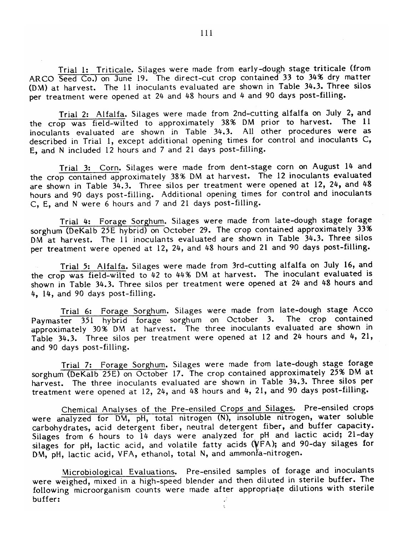Trial 1: Triticale. Silages were made from early-dough stage triticale (from ARCO Seed Co.) on June 19. The direct-cut crop contained 33 to 34% dry matter (DM) at harvest. The 11 inoculants evaluated are shown in Table 34.3. Three silos per treatment were opened at 24 and 48 hours and 4 and 90 days post-filling.

Trial 2: Alfalfa. Silages were made from 2nd-cutting alfalfa on July 2, and the crop was field-wilted to approximately 38% DM prior to harvest. The 11 inoculants evaluated are shown in Table 34.3. All other procedures were as described in Trial 1, except additional opening times for control and inoculants C, E, and N included 12 hours and 7 and 21 days post-filling.

Trial 3: Corn. Silages were made from dent-stage corn on August 14 and the crop contained approximately 38% DM at harvest. The 12 inoculants evaluated are shown in Table 34.3. Three silos per treatment were opened at 12, 24, and 48 hours and 90 days post-filling. Additional opening times for control and inoculants C. E. and N were 6 hours and 7 and 21 days post-filling.

Trial 4: Forage Sorghum. Silages were made from late-dough stage forage sorghum (DeKalb 25E hybrid) on October 29. The crop contained approximately 33% DM at harvest. The 11 inoculants evaluated are shown in Table 34.3. Three silos per treatment were opened at 12, 24, and 48 hours and 21 and 90 days post-filling.

Trial 5: Alfalfa. Silages were made from 3rd-cutting alfalfa on July 16, and the crop was field-wilted to 42 to 44% DM at harvest. The inoculant evaluated is shown in Table 34.3. Three silos per treatment were opened at 24 and 48 hours and 4, 14, and 90 days post-filling.

Trial 6: Forage Sorghum. Silages were made from late-dough stage Acco Paymaster 351 hybrid forage sorghum on October 3. The crop contained approximately 30% DM at harvest. The three inoculants evaluated are shown in Table 34.3. Three silos per treatment were opened at 12 and 24 hours and 4, 21, and 90 days post-filling.

Trial 7: Forage Sorghum. Silages were made from late-dough stage forage sorghum (DeKalb 25E) on October 17. The crop contained approximately 25% DM at harvest. The three inoculants evaluated are shown in Table 34.3. Three silos per treatment were opened at 12, 24, and 48 hours and 4, 21, and 90 days post-filling.

Chemical Analyses of the Pre-ensiled Crops and Silages. Pre-ensiled crops were analyzed for DM, pH, total nitrogen (N), insoluble nitrogen, water soluble carbohydrates, acid detergent fiber, neutral detergent fiber, and buffer capacity. Silages from 6 hours to 14 days were analyzed for pH and lactic acid; 21-day silages for pH, lactic acid, and volatile fatty acids (VFA); and 90-day silages for DM, pH, lactic acid, VFA, ethanol, total N, and ammonia-nitrogen.

Microbiological Evaluations. Pre-ensiled samples of forage and inoculants were weighed, mixed in a high-speed blender and then diluted in sterile buffer. The following microorganism counts were made after appropriate dilutions with sterile buffer: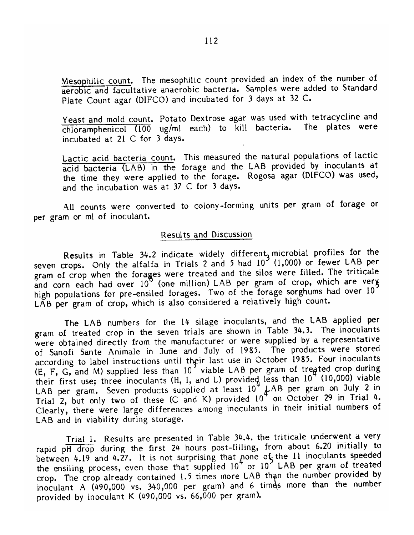Mesophilic count. The mesophilic count provided an index of the number of aerobic and facultative anaerobic bacteria. Samples were added to Standard Plate Count agar (DIFCO) and incubated for 3 days at 32 C.

Yeast and mold count. Potato Dextrose agar was used with tetracycline and chloramphenicol (100 ug/ml each) to kill bacteria. The plates were incubated at 21 C for 3 days.

Lactic acid bacteria count. This measured the natural populations of lactic acid bacteria (LAB) in the forage and the LAB provided by inoculants at the time they were applied to the forage. Rogosa agar (DIFCO) was used, and the incubation was at 37 C for 3 days.

All counts were converted to colony-forming units per gram of forage or per gram or ml of inoculant.

#### Results and Discussion

Results in Table 34.2 indicate widely different<sub>a</sub> microbial profiles for the seven crops. Only the alfalfa in Trials 2 and 5 had 10<sup>2</sup> (1,000) or fewer LAB per gram of crop when the forages were treated and the silos were filled. The triticale and corn each had over 10<sup>th</sup> (one million) LAB per gram of crop, which are very high populations for pre-ensiled forages. Two of the forage sorghums had over 10<sup>7</sup> LÃB per gram of crop, which is also considered a relatively high count.

The LAB numbers for the 14 silage inoculants, and the LAB applied per gram of treated crop in the seven trials are shown in Table 34.3. The inoculants were obtained directly from the manufacturer or were supplied by a representative of Sanofi Sante Animale in June and July of 1985. The products were stored according to label instructions until their last use in October 1985. Four inoculants (E, F, G, and M) supplied less than 10<sup>2</sup> viable LAB per gram of treated crop during their first use; three inoculants (H, I, and L) provided less than  $10^4$  (10,000) viable LAB per gram. Seven products supplied at least 10<sup>4</sup> LAB per gram on July 2 in<br>Trial 2, but only two of these (C and K) provided 10<sup>4</sup> on October 29 in Trial 4. Clearly, there were large differences among inoculants in their initial numbers of LAB and in viability during storage.

Trial 1. Results are presented in Table 34.4. the triticale underwent a very rapid pH drop during the first 24 hours post-filling, from about 6.20 initially to between 4.19 and 4.27. It is not surprising that none of the 11 inoculants speeded the ensiling process, even those that supplied 10<sup>4</sup> or 10<sup>2</sup> LAB per gram of treated crop. The crop already contained 1.5 times more LAB than the number provided by inoculant A (490,000 vs. 340,000 per gram) and 6 times more than the number provided by inoculant K (490,000 vs. 66,000 per gram).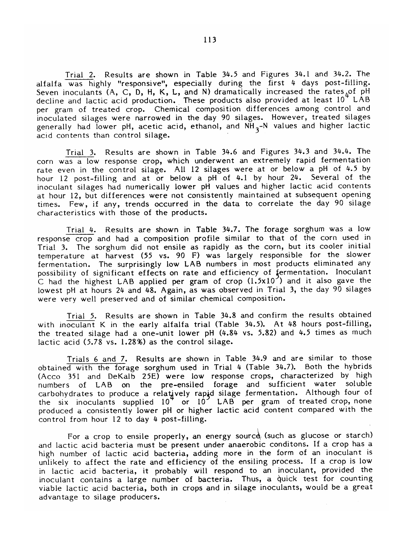Trial 2. Results are shown in Table 34.5 and Figures 34.1 and 34.2. The alfalfa was highly "responsive", especially during the first 4 days post-filling. Seven inoculants (A, C, D, H, K, L, and N) dramatically increased the rates, of pH decline and lactic acid production. These products also provided at least 10<sup>4</sup> LAB per gram of treated crop. Chemical composition differences among control and inoculated silages were narrowed in the day 90 silages. However, treated silages generally had lower pH, acetic acid, ethanol, and NH<sub>3</sub>-N values and higher lactic acid contents than control silage.

Trial 3. Results are shown in Table 34.6 and Figures 34.3 and 34.4. The corn was a low response crop, which underwent an extremely rapid fermentation rate even in the control silage. All 12 silages were at or below a pH of 4.5 by hour 12 post-filling and at or below a pH of 4.1 by hour 24. Several of the inoculant silages had numerically lower pH values and higher lactic acid contents at hour 12, but differences were not consistently maintained at subsequent opening times. Few, if any, trends occurred in the data to correlate the day 90 silage characteristics with those of the products.

Trial 4. Results are shown in Table 34.7. The forage sorghum was a low response crop and had a composition profile similar to that of the corn used in Trial 3. The sorghum did not ensile as rapidly as the corn, but its cooler initial temperature at harvest (55 vs. 90 F) was largely responsible for the slower fermentation. The surprisingly low LAB numbers in most products eliminated any possibility of significant effects on rate and efficiency of fermentation. Inoculant C had the highest LAB applied per gram of crop  $(1.5x10^2)$  and it also gave the lowest pH at hours 24 and 48. Again, as was observed in Trial 3, the day 90 silages were very well preserved and of similar chemical composition.

Trial 5. Results are shown in Table 34.8 and confirm the results obtained with inoculant K in the early alfalfa trial (Table 34.5). At 48 hours post-filling, the treated silage had a one-unit lower pH (4.84 vs. 5.82) and 4.5 times as much lactic acid (5.78 vs. 1.28%) as the control silage.

Trials 6 and 7. Results are shown in Table 34.9 and are similar to those obtained with the forage sorghum used in Trial 4 (Table 34.7). Both the hybrids (Acco 351 and DeKalb 25E) were low response crops, characterized by high numbers of LAB on the pre-ensiled forage and sufficient water soluble carbohydrates to produce a relatively rapid silage fermentation. Although four of the six inoculants supplied 10<sup>7</sup> or 10<sup>2</sup> LAB per gram of treated crop, none produced a consistently lower pH or higher lactic acid content compared with the control from hour 12 to day 4 post-filling.

For a crop to ensile properly, an energy source (such as glucose or starch) and lactic acid bacteria must be present under anaerobic conditons. If a crop has a high number of lactic acid bacteria, adding more in the form of an inoculant is unlikely to affect the rate and efficiency of the ensiling process. If a crop is low in lactic acid bacteria, it probably will respond to an inoculant, provided the inoculant contains a large number of bacteria. Thus, a quick test for counting viable lactic acid bacteria, both in crops and in silage inoculants, would be a great advantage to silage producers.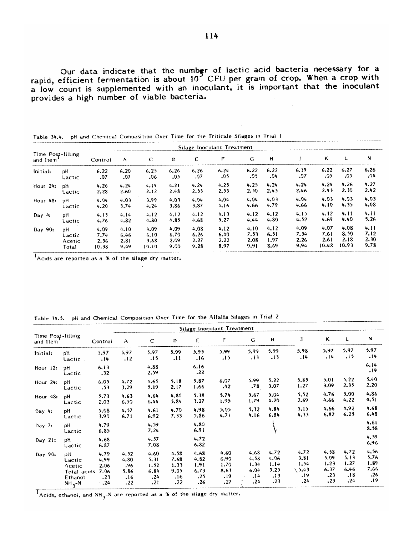Our data indicate that the number of lactic acid bacteria necessary for a rapid, efficient fermentation is about 10<sup>7</sup> CFU per gram of crop. When a crop with a low count is supplemented with an inoculant, it is important t provides a high number of viable bacteria.

|                               |        |         |      |       |      |      | Silage Inoculant Treatment |      |      |      |       |       |      |
|-------------------------------|--------|---------|------|-------|------|------|----------------------------|------|------|------|-------|-------|------|
| Time Post-filling<br>and Item |        | Control | A    | C.    | Ð    | E    | F                          | G    | н    | 3    | κ     |       | N    |
| Initial:                      | рH     | 6.22    | 6.20 | 6.25  | 6.26 | 6.26 | 6.24                       | 6.22 | 6.22 | 6.19 | 6.22  | 6.27  | 6.26 |
|                               | Lactic | .07     | .07  | .06   | -05  | .07  | .05                        | .05  | .04  | 07،  | .05   | .05   | .04  |
| Hour 24:                      | ъH     | 4.26    | 4.24 | 4.19  | 4.21 | 4.24 | 4.25                       | 4.25 | 4.24 | 4.24 | 4.24  | 4.26  | 4.27 |
|                               | Lactic | 2.28    | 2.60 | 2.12  | 2.48 | 2.33 | 2.53                       | 2.50 | 2.43 | 2.46 | 2.43  | 2.30  | 2.42 |
| Hour $48:$                    | рH     | 4.04    | 4.03 | 3.99  | 4.03 | 4.04 | 4.04                       | 4.04 | 4.03 | 4.04 | 4.03  | 4.03  | 4.03 |
|                               | Lactic | 4.20    | 3.74 | 4.24  | 3.86 | 3.87 | 4.16                       | 4.66 | 4.79 | 4.66 | 4.10  | 4.35  | 4.08 |
| Day $4:$                      | pH     | 4.13    | 4.14 | 4.12  | 4.12 | 4.12 | 4.13                       | 4.12 | 4.12 | 4.15 | 4.12  | 4.11  | 4.11 |
|                               | Lactic | 4.76    | 4.82 | 4.80  | 4.85 | 4.68 | 5.27                       | 4.44 | 4.80 | 4.52 | 4.69  | 4.40  | 5.26 |
| Day 90:                       | pН     | 4.09    | 4.10 | 4.09  | 4,09 | 4.08 | 4.12                       | 4.10 | 4.12 | 4.09 | 4.07  | 4.08  | 4.11 |
|                               | Lactic | 7.74    | 6.46 | 6.10  | 6.70 | 6.26 | 6.40                       | 7.53 | 6.51 | 7,34 | 7.61  | 8.50  | 7.12 |
|                               | Acetic | 2.36    | 2.81 | 3.68  | 2.09 | 2.27 | 2.22                       | 2.08 | 1.97 | 2.26 | 2.6I  | 2.18  | 2.30 |
|                               | Total  | 10.38   | 9.49 | 10.10 | 9.00 | 9.28 | 8,97                       | 9.91 | 8.69 | 9.94 | 10.48 | 10.93 | 9.78 |

Table 34.4. pH and Chemical Composition Over Time for the Triticale Silages in Trial 1

Acids are reported as a % of the silage dry matter.

|  | Table 34.5. pH and Chemical Composition Over Time for the Alfalfa Silages in Trial 2 |  |  |  |  |  |
|--|--------------------------------------------------------------------------------------|--|--|--|--|--|
|--|--------------------------------------------------------------------------------------|--|--|--|--|--|

|                               |              |              |      |              |      |              | Silage Inoculant Treatment |      |      |      |      |      |              |
|-------------------------------|--------------|--------------|------|--------------|------|--------------|----------------------------|------|------|------|------|------|--------------|
| Time Post-filling<br>and Item |              | Control      | A    | $\mathsf{C}$ | D    | E.           | F                          | G    | н    | J    | κ    | L    | N            |
| Initial:                      | рH           | 5.97         | 5.97 | 5.97         | 5.99 | 5.95         | 5.99                       | 5.99 | 5.99 | 5.98 | 5.97 | 5,97 | 5.97         |
|                               | Lactic       | .14          | .12  | .15          | .11  | .16          | .15                        | .13  | .13  | .14  | .14  | .15  | .14          |
| Hour $12:$                    | pH<br>Lactic | 6.13<br>.32  |      | 4.88<br>2.59 |      | 6.16<br>.22  |                            |      |      |      |      |      | 6.14<br>.19  |
| Hour 24:                      | pH           | 6.05         | 4.72 | 4.65         | 5.18 | 5.87         | 6.07                       | 5.99 | 5.22 | 5.85 | 5.01 | 5.22 | 5.40         |
|                               | Lactic       | .53          | 3.29 | 5.19         | 2.17 | 1.66         | .42                        | .78  | 3.07 | 1.27 | 3.09 | 2.35 | 2.20         |
| Hour 48:                      | рH           | 5.73         | 4.63 | 4.64         | 4.80 | 5,38         | 5.74                       | 5.67 | 5.04 | 5,52 | 4.76 | 5.00 | 4.86         |
|                               | Lactic       | 2.03         | 6.50 | 6.44         | 5.84 | 3.27         | 1.95                       | 1.79 | 4.20 | 2.69 | 4.66 | 4.22 | 4,51         |
| Day $4:$                      | рH           | 5.08         | 4.57 | 4.61         | 4.70 | 4,98         | 5.05                       | 5.32 | 4.84 | 5.15 | 4.66 | 4.92 | 4,68         |
|                               | Lactic       | 3.90         | 6.71 | 6.92         | 7.33 | 5.86         | 4,71                       | 4.16 | 6.84 | 4.33 | 6.82 | 6.25 | 6.48         |
| Day 7:                        | рH<br>Lactic | 4.79<br>6.85 |      | 4.59<br>7.24 |      | 4.80<br>6.91 |                            |      |      |      |      |      | 4.61<br>8.58 |
| Day 21:                       | рH<br>Lactic | 4.68<br>6.87 |      | 4.57<br>7.08 |      | 4.72<br>6.82 |                            |      |      |      |      |      | 4,59<br>6.96 |
| Day 90:                       | рH           | 4.79         | 4.52 | 4.60         | 4.58 | 4.68         | 4.60                       | 4.68 | 4.72 | 4.72 | 4,58 | 4.72 | 4.56         |
|                               | Lactic       | 4,99         | 4.80 | 5.31         | 7.68 | 4.82         | 6.90                       | 4.58 | 4.96 | 3.81 | 5,09 | 5.13 | 5.76         |
|                               | Acetic       | 2.06         | .96  | 1.52         | 1.33 | 1.91         | 1.70                       | 1.34 | 1.14 | 1.54 | 1,23 | 1.27 | 1.89         |
|                               | Total acids  | 7.06         | 5.86 | 6.84         | 9.05 | 6.73         | 8.63                       | 6.04 | 5.25 | 5.43 | 6.37 | 6.46 | 7.66         |
|                               | Ethanol      | .23          | .16  | .24          | .16  | .25          | .19                        | .14  | .13  | .19  | .23  | .18  | .26          |
|                               | $NH_3-N$     | $\cdot$ .24  | .22  | .21          | .22  | .26          | .27                        | .24  | .23  | .24  | .23  | .24  | .19          |

 $1$ Acids, ethanol, and NH<sub>3</sub>-N are reported as a % of the silage dry matter.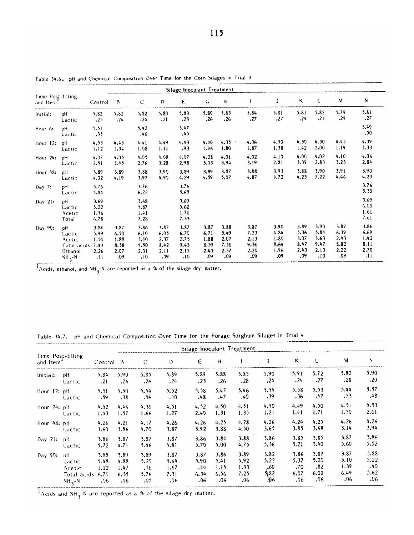|                                |                                 |                              |      |                              |      | Silage Inoculant Treatment   |      |      |      |      |      |      |      |                              |
|--------------------------------|---------------------------------|------------------------------|------|------------------------------|------|------------------------------|------|------|------|------|------|------|------|------------------------------|
| Time Post-filling<br>and Item' |                                 | Control                      | B    | $\mathsf C$                  | Ð    | E.                           | G    | Ħ    |      | J    | κ    | L    | M    | N                            |
| Initial:                       | рH                              | 5.82                         | 5.82 | 5.82                         | 5.80 | 5,83                         | 5.80 | 5.83 | 5.84 | 5.81 | 5.81 | 5.82 | 5.79 | 5.81                         |
|                                | Lactic                          | .25                          | .24  | .24                          | .21  | .23                          | .26  | .26  | .27  | .27  | .29  | .21  | .29  | .27                          |
| Hour 6:                        | υH<br>Lactic                    | 5.51<br>, 35                 |      | 5.42<br>.46                  |      | 5.47<br>.45                  |      |      |      |      |      |      |      | 5.49<br>.50                  |
| Hour $12$ :                    | рH                              | 4.53                         | 4.43 | 4.41                         | 4.49 | 4.43                         | 4.40 | 4.35 | 4.36 | 4.50 | 4.30 | 4.30 | 4.45 | 4.39                         |
|                                | Lactic                          | 1.12                         | 1.34 | 1.08                         | 1.11 | .93                          | 1.46 | 1.80 | 1.87 | 1.38 | 1.42 | 2.00 | 1.19 | 1.33                         |
| Hour 24:                       | pH                              | 4.07                         | 4.05 | 4.05                         | 4.08 | 4.07                         | 4.08 | 4.01 | 4.02 | 4.10 | 4.00 | 4.02 | 4.10 | 4.06                         |
|                                | Lactic                          | 2.51                         | 3.45 | 2.76                         | 3.28 | 2.98                         | 3.03 | 3.94 | 3.19 | 2.81 | 3.39 | 2.83 | 3.23 | 2.84                         |
| Hour 48:                       | pH                              | 3.89                         | 3.89 | 3.88                         | 3.90 | 3.89                         | 3.89 | 3,87 | 3.88 | 3.93 | 3.88 | 3.90 | 3.91 | 3.90                         |
|                                | Lactic                          | 4.02                         | 4.19 | 3,97                         | 4.90 | 4.29                         | 4.59 | 5.07 | 4.87 | 4.72 | 4.23 | 5.22 | 4.46 | 4.23                         |
| Day 7:                         | pH<br>Lactic                    | 3.76<br>5.84                 |      | 3.76<br>6.22                 |      | 3.76<br>5.65                 |      |      |      |      |      |      |      | 3.76<br>5.30                 |
| Day 21:                        | ъH<br>Lactic<br>Acetic<br>Total | 3.69<br>5.22<br>1.56<br>6.78 |      | 3.68<br>5.87<br>1.41<br>7.28 |      | 3.69<br>5.62<br>1.71<br>7.33 |      |      |      |      |      |      |      | 3.69<br>6.00<br>1.61<br>7.61 |
| Day 90:                        | рH                              | 3.86                         | 3.87 | 3.86                         | 3.87 | 3.87                         | 3.87 | 3.88 | 3.87 | 3.90 | 3.89 | 3.90 | 3.87 | 3.86                         |
|                                | Lactic                          | 5.99                         | 6.50 | 6.10                         | 6.05 | 6.70                         | 6.71 | 5.49 | 7.23 | 6.84 | 5.36 | 5.84 | 6.39 | 6.69                         |
|                                | Acetic                          | 1.50                         | 1.88 | 3,40                         | 2.37 | 2.75                         | 1.88 | 2.07 | 2.13 | 1.80 | 3.07 | 3.63 | 2.43 | 1.42                         |
|                                | Total acids                     | 7.49                         | 8.38 | 9.50                         | 8.42 | 9.45                         | 8.59 | 7.56 | 9.36 | 8.64 | 8.47 | 9.47 | 8.82 | 8.11                         |
|                                | Ethanol                         | 2.26                         | 2.07 | 2.01                         | 2.11 | 2.15                         | 2.43 | 2.37 | 2.20 | 1.96 | 2.43 | 2.13 | 2.22 | 2.70                         |
|                                | $NH2-N$                         | .11                          | .09  | .10                          | .09  | .10                          | .09  | .09  | .09  | .09  | .09  | .10  | ,09  | .11                          |

Table 34.6, pH and Chemical Composition Over Time for the Corn Silages in Trial 3

 $\frac{1}{1}$ Acids, ethanol, and  $NH_3$ -N are reported as a % of the silage dry matter.

|                               |                                       |                              |                              |                             |                              | Silage Inoculant Treatment  |                              |                              |                             |                             |                             |                              |                             |
|-------------------------------|---------------------------------------|------------------------------|------------------------------|-----------------------------|------------------------------|-----------------------------|------------------------------|------------------------------|-----------------------------|-----------------------------|-----------------------------|------------------------------|-----------------------------|
| Time Post-filling<br>and Item |                                       | Control B                    |                              | $\mathsf{C}$                | $\mathbf D$                  | ε                           | H                            |                              | $\mathbf{J}$                | Κ                           | L                           | M                            | N                           |
| Initial:                      | рH<br>Lactic                          | 5.84<br>.21                  | 5,90<br>.26                  | 5.85<br>.26                 | 5.89<br>.24                  | 5.89<br>.23                 | 5.88<br>.26                  | 5.85<br>.28                  | 5.90<br>.24                 | 5.91<br>.24                 | 5.72<br>.27                 | 5.82<br>.28                  | 5.90<br>.20                 |
| Hour $12: pH$                 | Lactic                                | 5.51<br>.59                  | 5.50<br>.38                  | 5.54<br>.56                 | 5.52<br>.40                  | 5.58<br>.48                 | 5.47<br>.47                  | 5.46<br>.40                  | 5.54<br>. 39                | 5.58<br>.36                 | 5.53<br>.47                 | 5.44<br>.53                  | 5.57<br>.48                 |
| Hour $24:$ $pH$               | Lactic                                | 4.52<br>1.43                 | 4.46<br>1.57                 | 4.36<br>1.66                | 4.51<br>1.27                 | 4, 52<br>2.40               | 4.50<br>1.31                 | 4.51<br>1.35                 | 4.50<br>1.21                | 4.49<br>1.41                | 4.50<br>1.71                | 4.51<br>1.50                 | 4.53<br>2.61                |
| Hour 48: pH                   | Lactic                                | 4.26<br>3.60                 | 4.21<br>3.86                 | 4.17<br>4,70                | 4.26<br>3.87                 | 4.26<br>3.92                | 4.25<br>3.88                 | 4.28<br>4.50                 | 4,26<br>3.65                | 4.24<br>3.85                | 4.25<br>3.68                | 4.26<br>3.14                 | 4.26<br>3.94                |
| Day 21:                       | pH<br>Lactic                          | 3.86<br>5.72                 | 3.87<br>4.71                 | 3.87<br>5.46                | 3.87<br>4.81                 | 3.86<br>5.70                | 3.84<br>5.00                 | 3.88<br>4.75                 | 3.86<br>5.36                | 3.85<br>5.21                | 3.85<br>3.40                | 3.87<br>5.60                 | 3.86<br>5.52                |
| Day 90:                       | рH<br>Lactic<br>Acetic<br>Total acids | 3.88<br>5.48<br>1.22<br>6.70 | 3.89<br>4.88<br>1.47<br>6.35 | 3.89<br>5.20<br>.56<br>5.76 | 3.87<br>5.64<br>1.67<br>7.31 | 3.87<br>5.90<br>.44<br>6.34 | 3.86<br>5.41<br>1.15<br>6.56 | 3.89<br>5.92<br>1.33<br>7.25 | 3.82<br>5.22<br>.60<br>5,82 | 3.86<br>5.37<br>.70<br>6.07 | 3.87<br>5.20<br>.82<br>6.02 | 3.87<br>5.10<br>1.39<br>6.49 | 3.88<br>5.22<br>.40<br>5.62 |
|                               | $NH_{2}-N$                            | .96                          | .06                          | .05                         | .06                          | .06                         | .06                          | .06                          | Άб,                         | .06                         | .06                         | .06                          | .06                         |

Table 34.7. pH and Chemical Composition Over Time for the Forage Sorghum Silages in Trial 4

Taxable and NH<sub>3</sub>-N are reported as a % of the silage dry matter.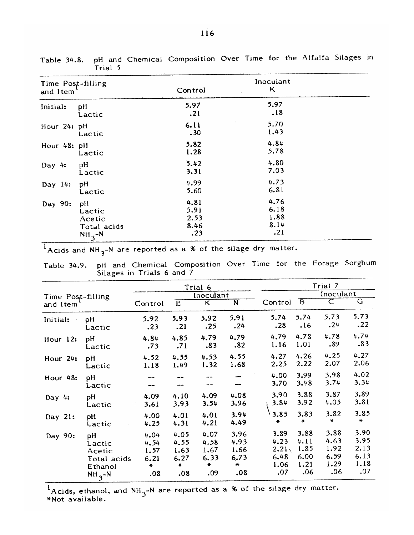| Time Post-filling |             |         | Inoculant |  |
|-------------------|-------------|---------|-----------|--|
| and Item          |             | Control | K         |  |
| Initial:          | pH          | 5.97    | 5.97      |  |
|                   | Lactic      | .21     | .18       |  |
| Hour 24: pH       |             | 6.11    | 5.70      |  |
|                   | Lactic      | .30     | 1.43      |  |
| Hour 48: pH       |             | 5.82    | 4.84      |  |
|                   | Lactic      | 1.28    | 5.78      |  |
| Day $4:$          | pH          | 5.42    | 4.80      |  |
|                   | Lactic      | 3.31    | 7.03      |  |
| Day 14:           | pH          | 4.99    | 4.73      |  |
|                   | Lactic      | 5.60    | 6.81      |  |
| Day 90:           | рH          | 4.81    | 4.76      |  |
|                   | Lactic      | 5.91    | 6.18      |  |
|                   | Acetic      | 2.53    | 1.88      |  |
|                   | Total acids | 8.46    | 8.14      |  |
|                   | $NH_2-N$    | .23     | .21       |  |

pH and Chemical Composition Over Time for the Alfalfa Silages in Table 34.8. Trial 5

 $\frac{1}{1}$ Acids and NH<sub>3</sub>-N are reported as a % of the silage dry matter.

| Table 34.9. pH and Chemical Composition Over Time for the Forage Sorghun |  |  |  |  |
|--------------------------------------------------------------------------|--|--|--|--|
| Silages in Trials 6 and 7                                                |  |  |  |  |

|                               |                                                  | Trial 6                                 |                                               |                                              |                                     | Trial 7                                           |                                      |                                             |                                             |
|-------------------------------|--------------------------------------------------|-----------------------------------------|-----------------------------------------------|----------------------------------------------|-------------------------------------|---------------------------------------------------|--------------------------------------|---------------------------------------------|---------------------------------------------|
| Time Post-filling<br>and Item |                                                  | Inoculant                               |                                               |                                              |                                     |                                                   | Inoculant                            |                                             |                                             |
|                               |                                                  | Control                                 | Έ                                             | $\overline{\mathsf{K}}$                      | $\overline{\mathsf{N}}$             | Control                                           | $\overline{B}$                       | C                                           | $\overline{\mathsf{G}}$                     |
| Initial:                      | pH<br>Lactic                                     | 5.92<br>.23                             | 5.93<br>.21                                   | 5.92<br>.25                                  | 5.91<br>.24                         | 5.74<br>.28                                       | 5.74<br>.16                          | 5.73<br>.24                                 | 5.73<br>.22                                 |
| Hour 12:                      | pH<br>Lactic                                     | 4.84<br>.73                             | 4.85<br>.71                                   | 4.79<br>.83                                  | 4.79<br>.82                         | 4.79<br>1.16                                      | 4.78<br>1.01                         | 4.78<br>.89                                 | 4.74<br>.83                                 |
| Hour 24:                      | рH<br>Lactic                                     | 4.52<br>1.18                            | 4.55<br>1.49                                  | 4.53<br>1.32                                 | 4.55<br>1.68                        | 4.27<br>2.25                                      | 4.26<br>2.22                         | 4.25<br>2.07                                | 4.27<br>2.06                                |
| Hour 48:                      | рH<br>Lactic                                     |                                         |                                               |                                              |                                     | 4.00<br>3.70                                      | 3.99<br>3.48                         | 3.98<br>3.74                                | 4.02<br>3.34                                |
| Day $4:$                      | рH<br>Lactic                                     | 4.09<br>3.61                            | 4.10<br>3.93                                  | 4.09<br>3.54                                 | 4.08<br>3.96                        | 3.90<br>3.84                                      | 3.88<br>3.92                         | 3.87<br>4.05                                | 3.89<br>3.81                                |
| Day 21:                       | pH<br>Lactic                                     | 4.00<br>4.25                            | 4.01<br>4.31                                  | 4.01<br>4.21                                 | 3.94<br>4.49                        | 3.85<br>$\star$                                   | 3.83<br>$\star$                      | 3.82<br>$\star$                             | 3.85<br>$\star$                             |
| Day 90:                       | рH<br>Lactic<br>Acetic<br>Total acids<br>Ethanol | 4.04<br>4.54<br>1.57<br>6.21<br>$\star$ | 4.05<br>4.55<br>1.63<br>6.27<br>$\ddot{\ast}$ | 4.07<br>4.58<br>1.67<br>6.33<br>$\pmb{\ast}$ | 3.96<br>4.93<br>1.66<br>6.73<br>्र# | 3.89<br>4.23<br>2.21 <sub>1</sub><br>6.48<br>1.06 | 3.88<br>4.11<br>1.85<br>6.00<br>1.21 | 3.88<br>4.63<br>1.92<br>6.59<br>1.29<br>.06 | 3.90<br>3.95<br>2.13<br>6.13<br>1.18<br>.07 |
|                               | $NH_{3} - N$                                     | .08                                     | .08                                           | .09                                          | .08                                 | .07                                               | .06                                  |                                             |                                             |

 $\frac{1}{2}$ Acids, ethanol, and NH<sub>3</sub>-N are reported as a % of the silage dry matter.<br>\*Not available.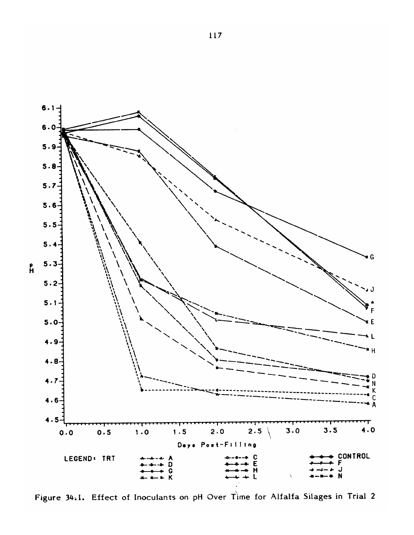

Figure 34.1. Effect of Inoculants on pH Over Time for Alfalfa Silages in Trial 2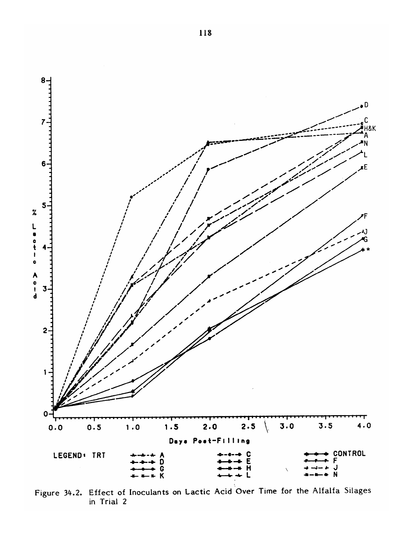

Figure 34.2. Effect of Inoculants on Lactic Acid Over Time for the Alfalfa Silages in Trial 2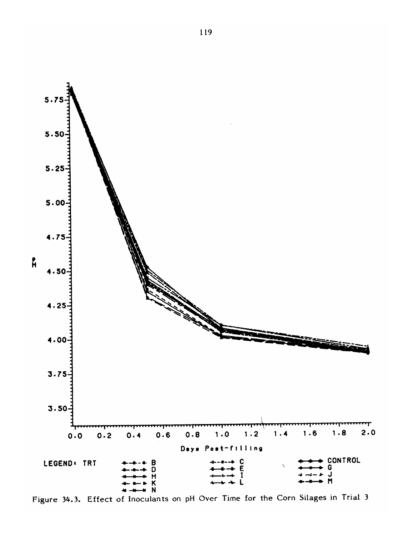

Figure 34.3. Effect of Inoculants on pH Over Time for the Corn Silages in Trial 3